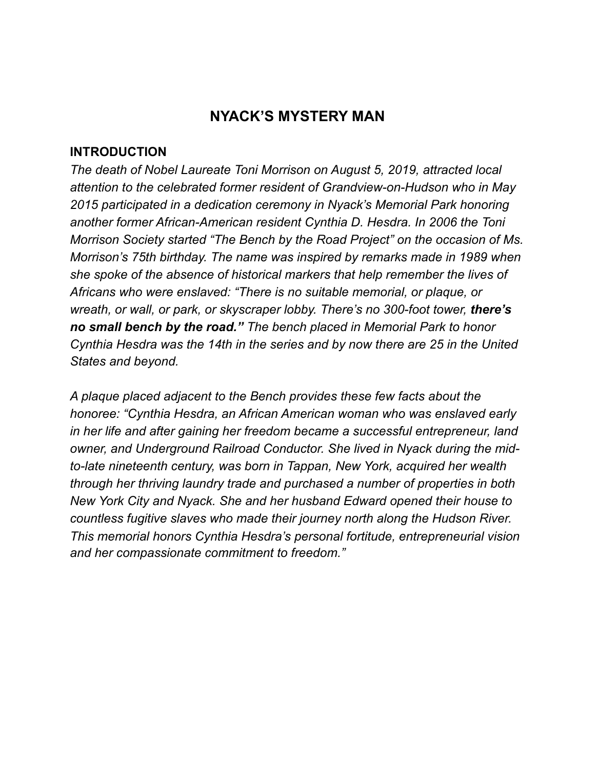## **NYACK'S MYSTERY MAN**

## **INTRODUCTION**

*The death of Nobel Laureate Toni Morrison on August 5, 2019, attracted local attention to the celebrated former resident of Grandview-on-Hudson who in May 2015 participated in a dedication ceremony in Nyack's Memorial Park honoring another former African-American resident Cynthia D. Hesdra. In 2006 the Toni Morrison Society started "The Bench by the Road Project" on the occasion of Ms. Morrison's 75th birthday. The name was inspired by remarks made in 1989 when she spoke of the absence of historical markers that help remember the lives of Africans who were enslaved: "There is no suitable memorial, or plaque, or wreath, or wall, or park, or skyscraper lobby. There's no 300-foot tower, there's no small bench by the road." The bench placed in Memorial Park to honor Cynthia Hesdra was the 14th in the series and by now there are 25 in the United States and beyond.* 

*A plaque placed adjacent to the Bench provides these few facts about the honoree: "Cynthia Hesdra, an African American woman who was enslaved early in her life and after gaining her freedom became a successful entrepreneur, land owner, and Underground Railroad Conductor. She lived in Nyack during the midto-late nineteenth century, was born in Tappan, New York, acquired her wealth through her thriving laundry trade and purchased a number of properties in both New York City and Nyack. She and her husband Edward opened their house to countless fugitive slaves who made their journey north along the Hudson River. This memorial honors Cynthia Hesdra's personal fortitude, entrepreneurial vision and her compassionate commitment to freedom."*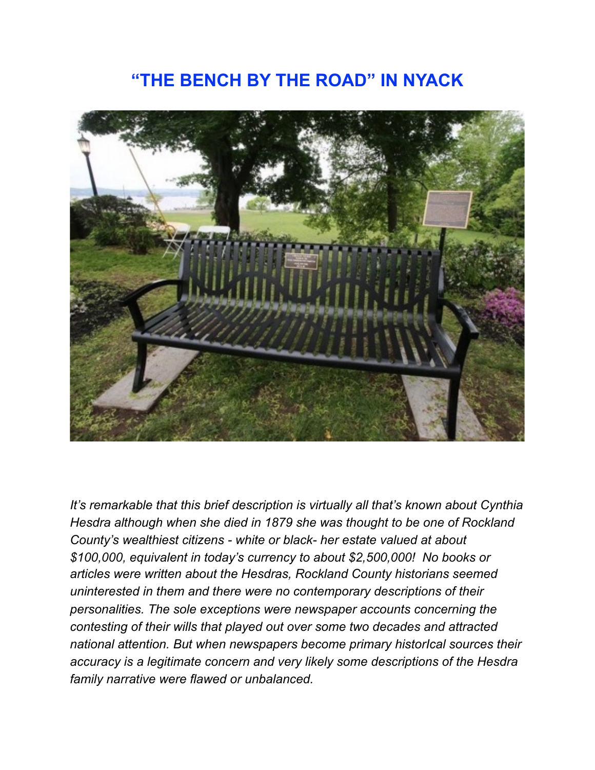## **"THE BENCH BY THE ROAD" IN NYACK**



*It's remarkable that this brief description is virtually all that's known about Cynthia Hesdra although when she died in 1879 she was thought to be one of Rockland County's wealthiest citizens - white or black- her estate valued at about \$100,000, equivalent in today's currency to about \$2,500,000! No books or articles were written about the Hesdras, Rockland County historians seemed uninterested in them and there were no contemporary descriptions of their personalities. The sole exceptions were newspaper accounts concerning the contesting of their wills that played out over some two decades and attracted national attention. But when newspapers become primary historIcal sources their accuracy is a legitimate concern and very likely some descriptions of the Hesdra family narrative were flawed or unbalanced.*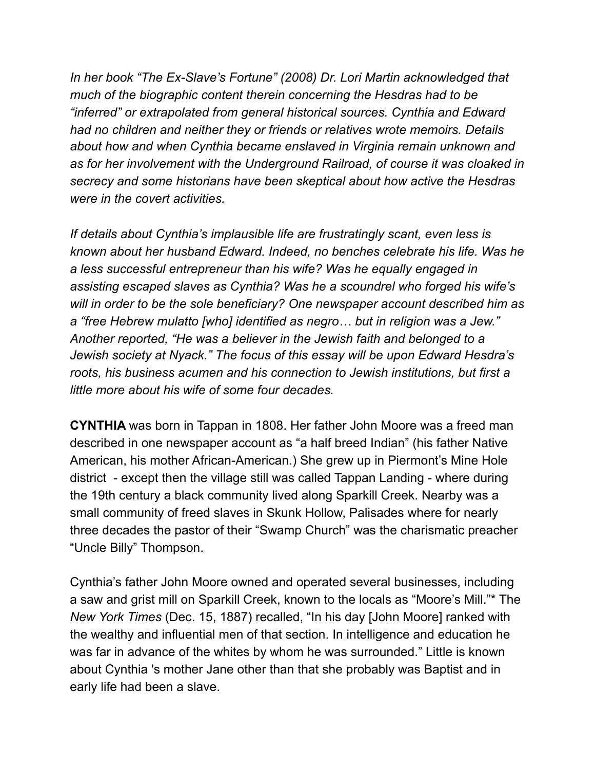*In her book "The Ex-Slave's Fortune" (2008) Dr. Lori Martin acknowledged that much of the biographic content therein concerning the Hesdras had to be "inferred" or extrapolated from general historical sources. Cynthia and Edward had no children and neither they or friends or relatives wrote memoirs. Details about how and when Cynthia became enslaved in Virginia remain unknown and as for her involvement with the Underground Railroad, of course it was cloaked in secrecy and some historians have been skeptical about how active the Hesdras were in the covert activities.* 

*If details about Cynthia's implausible life are frustratingly scant, even less is known about her husband Edward. Indeed, no benches celebrate his life. Was he a less successful entrepreneur than his wife? Was he equally engaged in assisting escaped slaves as Cynthia? Was he a scoundrel who forged his wife's will in order to be the sole beneficiary? One newspaper account described him as a "free Hebrew mulatto [who] identified as negro… but in religion was a Jew." Another reported, "He was a believer in the Jewish faith and belonged to a Jewish society at Nyack." The focus of this essay will be upon Edward Hesdra's roots, his business acumen and his connection to Jewish institutions, but first a little more about his wife of some four decades.* 

**CYNTHIA** was born in Tappan in 1808. Her father John Moore was a freed man described in one newspaper account as "a half breed Indian" (his father Native American, his mother African-American.) She grew up in Piermont's Mine Hole district - except then the village still was called Tappan Landing - where during the 19th century a black community lived along Sparkill Creek. Nearby was a small community of freed slaves in Skunk Hollow, Palisades where for nearly three decades the pastor of their "Swamp Church" was the charismatic preacher "Uncle Billy" Thompson.

Cynthia's father John Moore owned and operated several businesses, including a saw and grist mill on Sparkill Creek, known to the locals as "Moore's Mill."\* The *New York Times* (Dec. 15, 1887) recalled, "In his day [John Moore] ranked with the wealthy and influential men of that section. In intelligence and education he was far in advance of the whites by whom he was surrounded." Little is known about Cynthia 's mother Jane other than that she probably was Baptist and in early life had been a slave.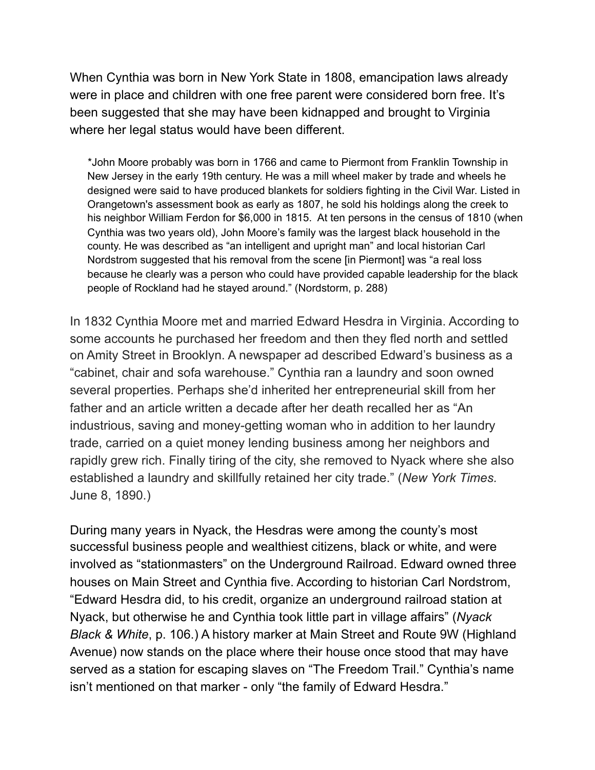When Cynthia was born in New York State in 1808, emancipation laws already were in place and children with one free parent were considered born free. It's been suggested that she may have been kidnapped and brought to Virginia where her legal status would have been different.

 \*John Moore probably was born in 1766 and came to Piermont from Franklin Township in New Jersey in the early 19th century. He was a mill wheel maker by trade and wheels he designed were said to have produced blankets for soldiers fighting in the Civil War. Listed in Orangetown's assessment book as early as 1807, he sold his holdings along the creek to his neighbor William Ferdon for \$6,000 in 1815. At ten persons in the census of 1810 (when Cynthia was two years old), John Moore's family was the largest black household in the county. He was described as "an intelligent and upright man" and local historian Carl Nordstrom suggested that his removal from the scene [in Piermont] was "a real loss because he clearly was a person who could have provided capable leadership for the black people of Rockland had he stayed around." (Nordstorm, p. 288)

In 1832 Cynthia Moore met and married Edward Hesdra in Virginia. According to some accounts he purchased her freedom and then they fled north and settled on Amity Street in Brooklyn. A newspaper ad described Edward's business as a "cabinet, chair and sofa warehouse." Cynthia ran a laundry and soon owned several properties. Perhaps she'd inherited her entrepreneurial skill from her father and an article written a decade after her death recalled her as "An industrious, saving and money-getting woman who in addition to her laundry trade, carried on a quiet money lending business among her neighbors and rapidly grew rich. Finally tiring of the city, she removed to Nyack where she also established a laundry and skillfully retained her city trade." (*New York Times.*  June 8, 1890.)

During many years in Nyack, the Hesdras were among the county's most successful business people and wealthiest citizens, black or white, and were involved as "stationmasters" on the Underground Railroad. Edward owned three houses on Main Street and Cynthia five. According to historian Carl Nordstrom, "Edward Hesdra did, to his credit, organize an underground railroad station at Nyack, but otherwise he and Cynthia took little part in village affairs" (*Nyack Black & White*, p. 106.) A history marker at Main Street and Route 9W (Highland Avenue) now stands on the place where their house once stood that may have served as a station for escaping slaves on "The Freedom Trail." Cynthia's name isn't mentioned on that marker - only "the family of Edward Hesdra."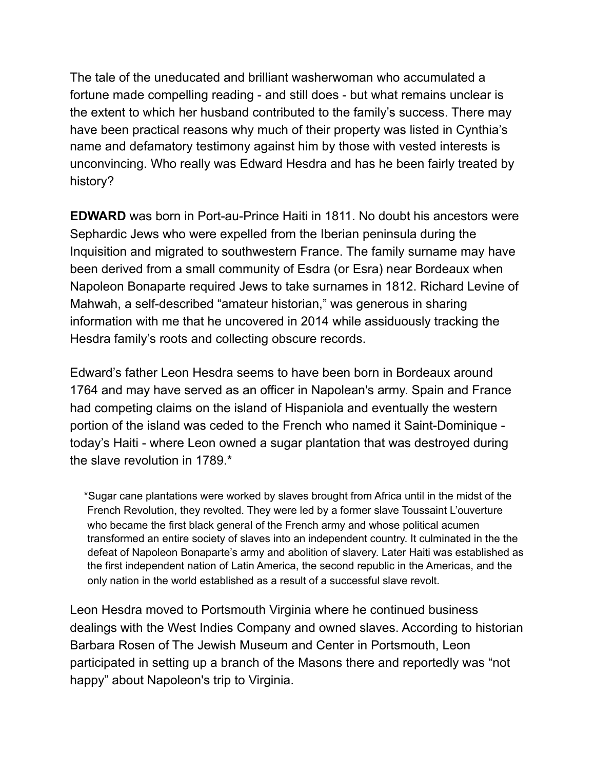The tale of the uneducated and brilliant washerwoman who accumulated a fortune made compelling reading - and still does - but what remains unclear is the extent to which her husband contributed to the family's success. There may have been practical reasons why much of their property was listed in Cynthia's name and defamatory testimony against him by those with vested interests is unconvincing. Who really was Edward Hesdra and has he been fairly treated by history?

**EDWARD** was born in Port-au-Prince Haiti in 1811. No doubt his ancestors were Sephardic Jews who were expelled from the Iberian peninsula during the Inquisition and migrated to southwestern France. The family surname may have been derived from a small community of Esdra (or Esra) near Bordeaux when Napoleon Bonaparte required Jews to take surnames in 1812. Richard Levine of Mahwah, a self-described "amateur historian," was generous in sharing information with me that he uncovered in 2014 while assiduously tracking the Hesdra family's roots and collecting obscure records.

Edward's father Leon Hesdra seems to have been born in Bordeaux around 1764 and may have served as an officer in Napolean's army. Spain and France had competing claims on the island of Hispaniola and eventually the western portion of the island was ceded to the French who named it Saint-Dominique today's Haiti - where Leon owned a sugar plantation that was destroyed during the slave revolution in 1789.\*

 \*Sugar cane plantations were worked by slaves brought from Africa until in the midst of the French Revolution, they revolted. They were led by a former slave Toussaint L'ouverture who became the first black general of the French army and whose political acumen transformed an entire society of slaves into an independent country. It culminated in the the defeat of Napoleon Bonaparte's army and abolition of slavery. Later Haiti was established as the first independent nation of Latin America, the second republic in the Americas, and the only nation in the world established as a result of a successful slave revolt.

Leon Hesdra moved to Portsmouth Virginia where he continued business dealings with the West Indies Company and owned slaves. According to historian Barbara Rosen of The Jewish Museum and Center in Portsmouth, Leon participated in setting up a branch of the Masons there and reportedly was "not happy" about Napoleon's trip to Virginia.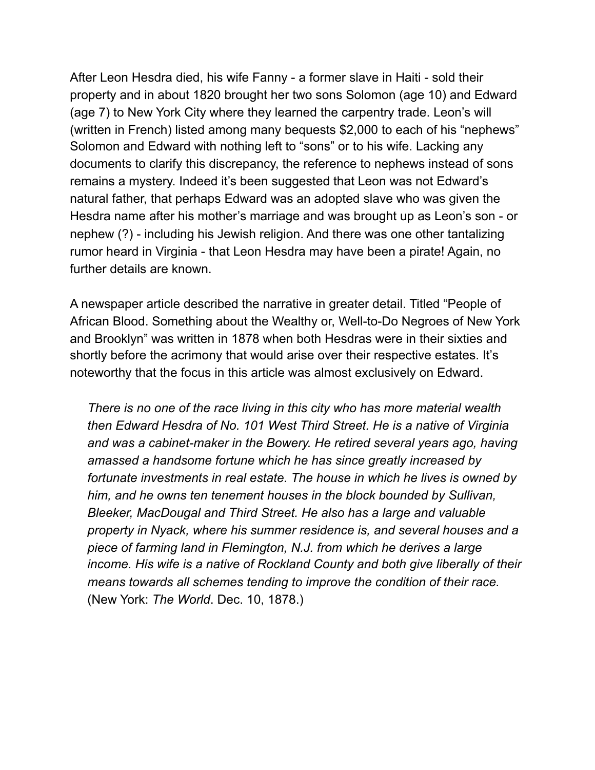After Leon Hesdra died, his wife Fanny - a former slave in Haiti - sold their property and in about 1820 brought her two sons Solomon (age 10) and Edward (age 7) to New York City where they learned the carpentry trade. Leon's will (written in French) listed among many bequests \$2,000 to each of his "nephews" Solomon and Edward with nothing left to "sons" or to his wife. Lacking any documents to clarify this discrepancy, the reference to nephews instead of sons remains a mystery. Indeed it's been suggested that Leon was not Edward's natural father, that perhaps Edward was an adopted slave who was given the Hesdra name after his mother's marriage and was brought up as Leon's son - or nephew (?) - including his Jewish religion. And there was one other tantalizing rumor heard in Virginia - that Leon Hesdra may have been a pirate! Again, no further details are known.

A newspaper article described the narrative in greater detail. Titled "People of African Blood. Something about the Wealthy or, Well-to-Do Negroes of New York and Brooklyn" was written in 1878 when both Hesdras were in their sixties and shortly before the acrimony that would arise over their respective estates. It's noteworthy that the focus in this article was almost exclusively on Edward.

 *There is no one of the race living in this city who has more material wealth then Edward Hesdra of No. 101 West Third Street. He is a native of Virginia and was a cabinet-maker in the Bowery. He retired several years ago, having amassed a handsome fortune which he has since greatly increased by fortunate investments in real estate. The house in which he lives is owned by him, and he owns ten tenement houses in the block bounded by Sullivan, Bleeker, MacDougal and Third Street. He also has a large and valuable property in Nyack, where his summer residence is, and several houses and a piece of farming land in Flemington, N.J. from which he derives a large income. His wife is a native of Rockland County and both give liberally of their means towards all schemes tending to improve the condition of their race.*  (New York: *The World*. Dec. 10, 1878.)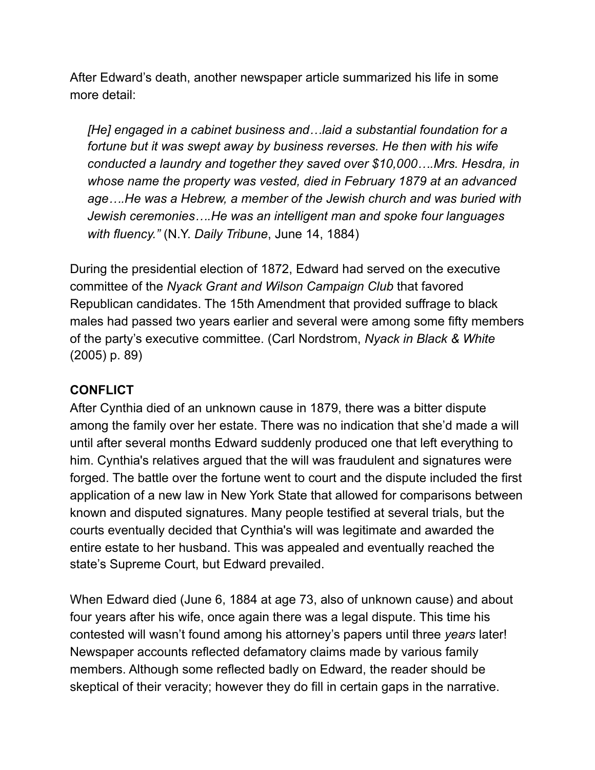After Edward's death, another newspaper article summarized his life in some more detail:

 *[He] engaged in a cabinet business and…laid a substantial foundation for a fortune but it was swept away by business reverses. He then with his wife conducted a laundry and together they saved over \$10,000….Mrs. Hesdra, in whose name the property was vested, died in February 1879 at an advanced age….He was a Hebrew, a member of the Jewish church and was buried with Jewish ceremonies….He was an intelligent man and spoke four languages with fluency."* (N.Y. *Daily Tribune*, June 14, 1884)

During the presidential election of 1872, Edward had served on the executive committee of the *Nyack Grant and Wilson Campaign Club* that favored Republican candidates. The 15th Amendment that provided suffrage to black males had passed two years earlier and several were among some fifty members of the party's executive committee. (Carl Nordstrom, *Nyack in Black & White*  (2005) p. 89)

## **CONFLICT**

After Cynthia died of an unknown cause in 1879, there was a bitter dispute among the family over her estate. There was no indication that she'd made a will until after several months Edward suddenly produced one that left everything to him. Cynthia's relatives argued that the will was fraudulent and signatures were forged. The battle over the fortune went to court and the dispute included the first application of a new law in New York State that allowed for comparisons between known and disputed signatures. Many people testified at several trials, but the courts eventually decided that Cynthia's will was legitimate and awarded the entire estate to her husband. This was appealed and eventually reached the state's Supreme Court, but Edward prevailed.

When Edward died (June 6, 1884 at age 73, also of unknown cause) and about four years after his wife, once again there was a legal dispute. This time his contested will wasn't found among his attorney's papers until three *years* later! Newspaper accounts reflected defamatory claims made by various family members. Although some reflected badly on Edward, the reader should be skeptical of their veracity; however they do fill in certain gaps in the narrative.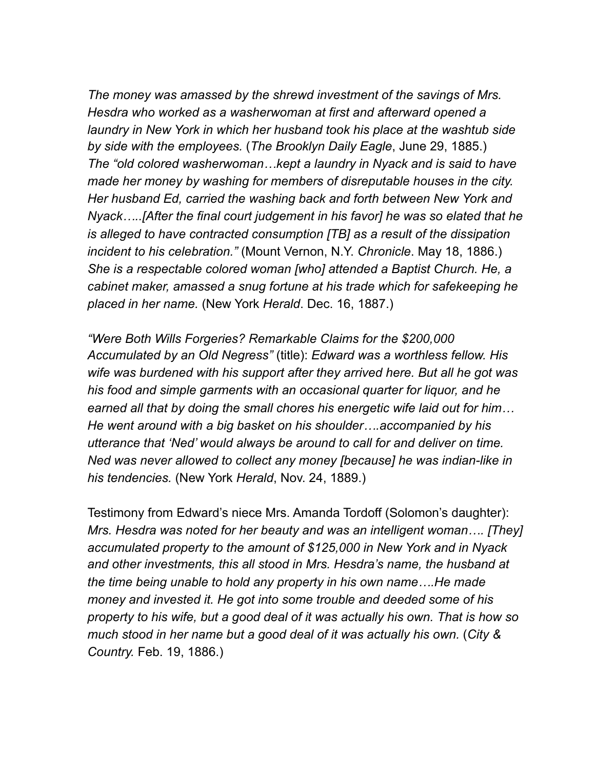*The money was amassed by the shrewd investment of the savings of Mrs. Hesdra who worked as a washerwoman at first and afterward opened a laundry in New York in which her husband took his place at the washtub side by side with the employees.* (*The Brooklyn Daily Eagle*, June 29, 1885.)  *The "old colored washerwoman…kept a laundry in Nyack and is said to have made her money by washing for members of disreputable houses in the city. Her husband Ed, carried the washing back and forth between New York and Nyack…..[After the final court judgement in his favor] he was so elated that he is alleged to have contracted consumption [TB] as a result of the dissipation incident to his celebration."* (Mount Vernon, N.Y. *Chronicle*. May 18, 1886.) *She is a respectable colored woman [who] attended a Baptist Church. He, a cabinet maker, amassed a snug fortune at his trade which for safekeeping he placed in her name.* (New York *Herald*. Dec. 16, 1887.)

 *"Were Both Wills Forgeries? Remarkable Claims for the \$200,000 Accumulated by an Old Negress"* (title): *Edward was a worthless fellow. His wife was burdened with his support after they arrived here. But all he got was his food and simple garments with an occasional quarter for liquor, and he earned all that by doing the small chores his energetic wife laid out for him… He went around with a big basket on his shoulder….accompanied by his utterance that 'Ned' would always be around to call for and deliver on time. Ned was never allowed to collect any money [because] he was indian-like in his tendencies.* (New York *Herald*, Nov. 24, 1889.)

Testimony from Edward's niece Mrs. Amanda Tordoff (Solomon's daughter): *Mrs. Hesdra was noted for her beauty and was an intelligent woman…. [They] accumulated property to the amount of \$125,000 in New York and in Nyack and other investments, this all stood in Mrs. Hesdra's name, the husband at the time being unable to hold any property in his own name….He made money and invested it. He got into some trouble and deeded some of his property to his wife, but a good deal of it was actually his own. That is how so much stood in her name but a good deal of it was actually his own.* (*City & Country.* Feb. 19, 1886.)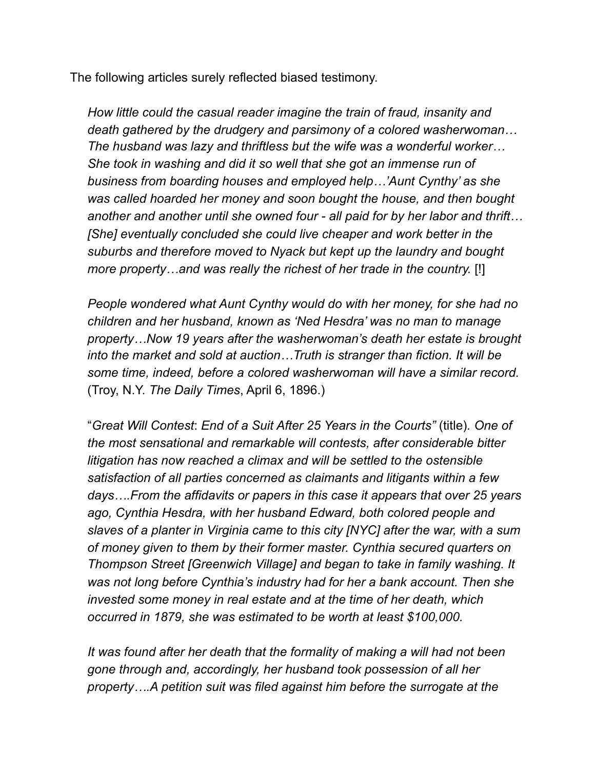The following articles surely reflected biased testimony.

 *How little could the casual reader imagine the train of fraud, insanity and death gathered by the drudgery and parsimony of a colored washerwoman… The husband was lazy and thriftless but the wife was a wonderful worker… She took in washing and did it so well that she got an immense run of business from boarding houses and employed help…'Aunt Cynthy' as she was called hoarded her money and soon bought the house, and then bought another and another until she owned four - all paid for by her labor and thrift… [She] eventually concluded she could live cheaper and work better in the suburbs and therefore moved to Nyack but kept up the laundry and bought more property…and was really the richest of her trade in the country.* [!]

 *People wondered what Aunt Cynthy would do with her money, for she had no children and her husband, known as 'Ned Hesdra' was no man to manage property…Now 19 years after the washerwoman's death her estate is brought into the market and sold at auction…Truth is stranger than fiction. It will be some time, indeed, before a colored washerwoman will have a similar record.*  (Troy, N.Y. *The Daily Times*, April 6, 1896.)

 "*Great Will Contest*: *End of a Suit After 25 Years in the Courts"* (title)*. One of the most sensational and remarkable will contests, after considerable bitter litigation has now reached a climax and will be settled to the ostensible satisfaction of all parties concerned as claimants and litigants within a few days….From the affidavits or papers in this case it appears that over 25 years ago, Cynthia Hesdra, with her husband Edward, both colored people and slaves of a planter in Virginia came to this city [NYC] after the war, with a sum of money given to them by their former master. Cynthia secured quarters on Thompson Street [Greenwich Village] and began to take in family washing. It was not long before Cynthia's industry had for her a bank account. Then she invested some money in real estate and at the time of her death, which occurred in 1879, she was estimated to be worth at least \$100,000.* 

 *It was found after her death that the formality of making a will had not been gone through and, accordingly, her husband took possession of all her property….A petition suit was filed against him before the surrogate at the*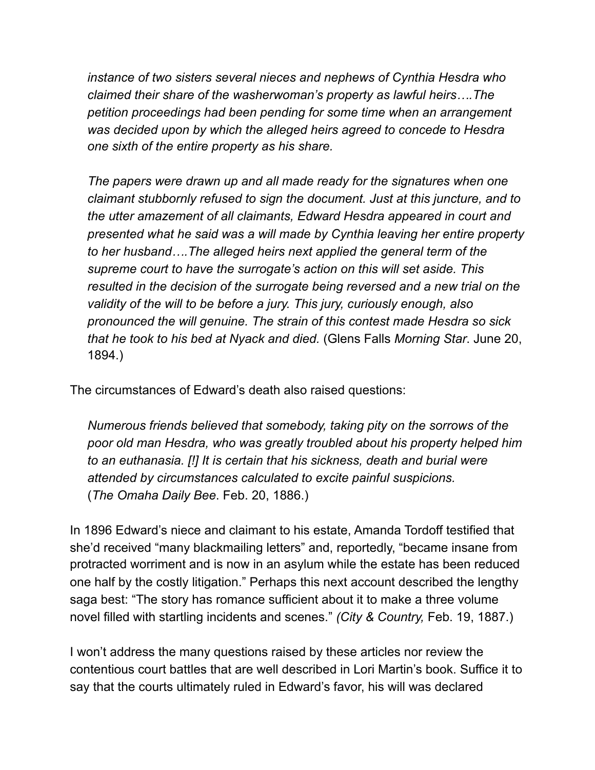*instance of two sisters several nieces and nephews of Cynthia Hesdra who claimed their share of the washerwoman's property as lawful heirs….The petition proceedings had been pending for some time when an arrangement was decided upon by which the alleged heirs agreed to concede to Hesdra one sixth of the entire property as his share.* 

 *The papers were drawn up and all made ready for the signatures when one claimant stubbornly refused to sign the document. Just at this juncture, and to the utter amazement of all claimants, Edward Hesdra appeared in court and presented what he said was a will made by Cynthia leaving her entire property to her husband….The alleged heirs next applied the general term of the supreme court to have the surrogate's action on this will set aside. This resulted in the decision of the surrogate being reversed and a new trial on the validity of the will to be before a jury. This jury, curiously enough, also pronounced the will genuine. The strain of this contest made Hesdra so sick that he took to his bed at Nyack and died.* (Glens Falls *Morning Star*. June 20, 1894.)

The circumstances of Edward's death also raised questions:

 *Numerous friends believed that somebody, taking pity on the sorrows of the poor old man Hesdra, who was greatly troubled about his property helped him to an euthanasia. [!] It is certain that his sickness, death and burial were attended by circumstances calculated to excite painful suspicions.* (*The Omaha Daily Bee*. Feb. 20, 1886.)

In 1896 Edward's niece and claimant to his estate, Amanda Tordoff testified that she'd received "many blackmailing letters" and, reportedly, "became insane from protracted worriment and is now in an asylum while the estate has been reduced one half by the costly litigation." Perhaps this next account described the lengthy saga best: "The story has romance sufficient about it to make a three volume novel filled with startling incidents and scenes." *(City & Country,* Feb. 19, 1887.)

I won't address the many questions raised by these articles nor review the contentious court battles that are well described in Lori Martin's book. Suffice it to say that the courts ultimately ruled in Edward's favor, his will was declared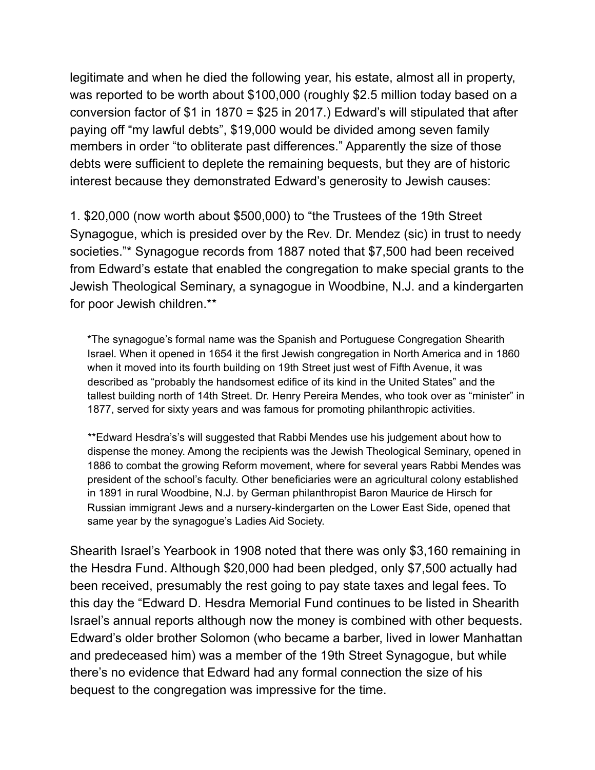legitimate and when he died the following year, his estate, almost all in property, was reported to be worth about \$100,000 (roughly \$2.5 million today based on a conversion factor of \$1 in 1870 = \$25 in 2017.) Edward's will stipulated that after paying off "my lawful debts", \$19,000 would be divided among seven family members in order "to obliterate past differences." Apparently the size of those debts were sufficient to deplete the remaining bequests, but they are of historic interest because they demonstrated Edward's generosity to Jewish causes:

1. \$20,000 (now worth about \$500,000) to "the Trustees of the 19th Street Synagogue, which is presided over by the Rev. Dr. Mendez (sic) in trust to needy societies."\* Synagogue records from 1887 noted that \$7,500 had been received from Edward's estate that enabled the congregation to make special grants to the Jewish Theological Seminary, a synagogue in Woodbine, N.J. and a kindergarten for poor Jewish children.\*\*

 \*The synagogue's formal name was the Spanish and Portuguese Congregation Shearith Israel. When it opened in 1654 it the first Jewish congregation in North America and in 1860 when it moved into its fourth building on 19th Street just west of Fifth Avenue, it was described as "probably the handsomest edifice of its kind in the United States" and the tallest building north of 14th Street. Dr. Henry Pereira Mendes, who took over as "minister" in 1877, served for sixty years and was famous for promoting philanthropic activities.

 \*\*Edward Hesdra's's will suggested that Rabbi Mendes use his judgement about how to dispense the money. Among the recipients was the Jewish Theological Seminary, opened in 1886 to combat the growing Reform movement, where for several years Rabbi Mendes was president of the school's faculty. Other beneficiaries were an agricultural colony established in 1891 in rural Woodbine, N.J. by German philanthropist Baron Maurice de Hirsch for Russian immigrant Jews and a nursery-kindergarten on the Lower East Side, opened that same year by the synagogue's Ladies Aid Society.

Shearith Israel's Yearbook in 1908 noted that there was only \$3,160 remaining in the Hesdra Fund. Although \$20,000 had been pledged, only \$7,500 actually had been received, presumably the rest going to pay state taxes and legal fees. To this day the "Edward D. Hesdra Memorial Fund continues to be listed in Shearith Israel's annual reports although now the money is combined with other bequests. Edward's older brother Solomon (who became a barber, lived in lower Manhattan and predeceased him) was a member of the 19th Street Synagogue, but while there's no evidence that Edward had any formal connection the size of his bequest to the congregation was impressive for the time.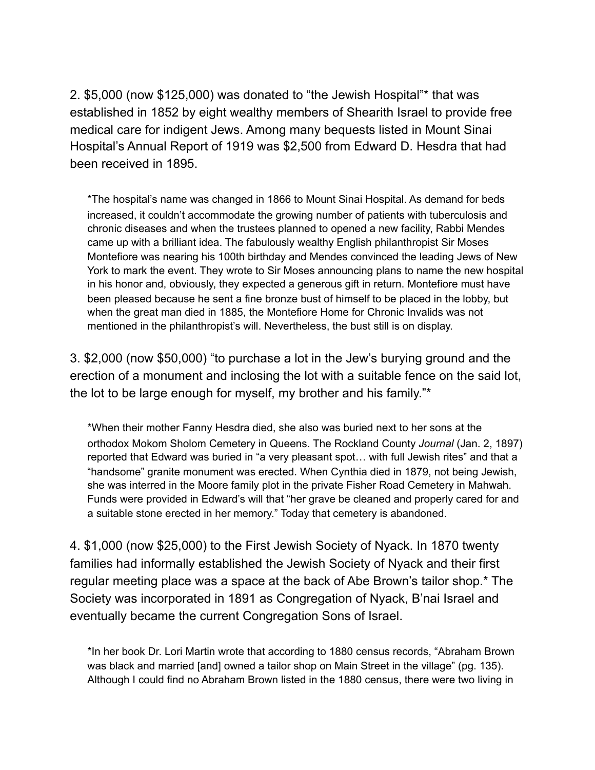2. \$5,000 (now \$125,000) was donated to "the Jewish Hospital"\* that was established in 1852 by eight wealthy members of Shearith Israel to provide free medical care for indigent Jews. Among many bequests listed in Mount Sinai Hospital's Annual Report of 1919 was \$2,500 from Edward D. Hesdra that had been received in 1895.

 \*The hospital's name was changed in 1866 to Mount Sinai Hospital. As demand for beds increased, it couldn't accommodate the growing number of patients with tuberculosis and chronic diseases and when the trustees planned to opened a new facility, Rabbi Mendes came up with a brilliant idea. The fabulously wealthy English philanthropist Sir Moses Montefiore was nearing his 100th birthday and Mendes convinced the leading Jews of New York to mark the event. They wrote to Sir Moses announcing plans to name the new hospital in his honor and, obviously, they expected a generous gift in return. Montefiore must have been pleased because he sent a fine bronze bust of himself to be placed in the lobby, but when the great man died in 1885, the Montefiore Home for Chronic Invalids was not mentioned in the philanthropist's will. Nevertheless, the bust still is on display.

3. \$2,000 (now \$50,000) "to purchase a lot in the Jew's burying ground and the erection of a monument and inclosing the lot with a suitable fence on the said lot, the lot to be large enough for myself, my brother and his family."\*

 \*When their mother Fanny Hesdra died, she also was buried next to her sons at the orthodox Mokom Sholom Cemetery in Queens. The Rockland County *Journal* (Jan. 2, 1897) reported that Edward was buried in "a very pleasant spot… with full Jewish rites" and that a "handsome" granite monument was erected. When Cynthia died in 1879, not being Jewish, she was interred in the Moore family plot in the private Fisher Road Cemetery in Mahwah. Funds were provided in Edward's will that "her grave be cleaned and properly cared for and a suitable stone erected in her memory." Today that cemetery is abandoned.

4. \$1,000 (now \$25,000) to the First Jewish Society of Nyack. In 1870 twenty families had informally established the Jewish Society of Nyack and their first regular meeting place was a space at the back of Abe Brown's tailor shop.\* The Society was incorporated in 1891 as Congregation of Nyack, B'nai Israel and eventually became the current Congregation Sons of Israel.

 \*In her book Dr. Lori Martin wrote that according to 1880 census records, "Abraham Brown was black and married [and] owned a tailor shop on Main Street in the village" (pg. 135). Although I could find no Abraham Brown listed in the 1880 census, there were two living in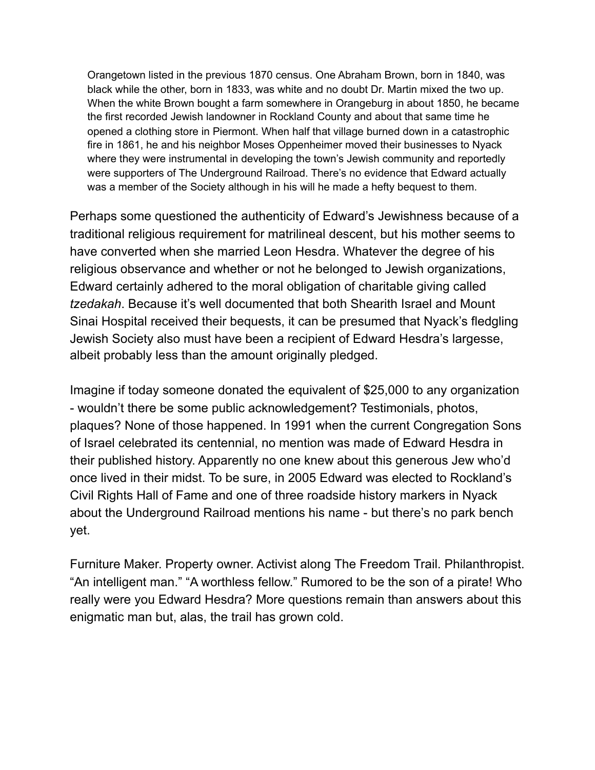Orangetown listed in the previous 1870 census. One Abraham Brown, born in 1840, was black while the other, born in 1833, was white and no doubt Dr. Martin mixed the two up. When the white Brown bought a farm somewhere in Orangeburg in about 1850, he became the first recorded Jewish landowner in Rockland County and about that same time he opened a clothing store in Piermont. When half that village burned down in a catastrophic fire in 1861, he and his neighbor Moses Oppenheimer moved their businesses to Nyack where they were instrumental in developing the town's Jewish community and reportedly were supporters of The Underground Railroad. There's no evidence that Edward actually was a member of the Society although in his will he made a hefty bequest to them.

Perhaps some questioned the authenticity of Edward's Jewishness because of a traditional religious requirement for matrilineal descent, but his mother seems to have converted when she married Leon Hesdra. Whatever the degree of his religious observance and whether or not he belonged to Jewish organizations, Edward certainly adhered to the moral obligation of charitable giving called *tzedakah*. Because it's well documented that both Shearith Israel and Mount Sinai Hospital received their bequests, it can be presumed that Nyack's fledgling Jewish Society also must have been a recipient of Edward Hesdra's largesse, albeit probably less than the amount originally pledged.

Imagine if today someone donated the equivalent of \$25,000 to any organization - wouldn't there be some public acknowledgement? Testimonials, photos, plaques? None of those happened. In 1991 when the current Congregation Sons of Israel celebrated its centennial, no mention was made of Edward Hesdra in their published history. Apparently no one knew about this generous Jew who'd once lived in their midst. To be sure, in 2005 Edward was elected to Rockland's Civil Rights Hall of Fame and one of three roadside history markers in Nyack about the Underground Railroad mentions his name - but there's no park bench yet.

Furniture Maker. Property owner. Activist along The Freedom Trail. Philanthropist. "An intelligent man." "A worthless fellow." Rumored to be the son of a pirate! Who really were you Edward Hesdra? More questions remain than answers about this enigmatic man but, alas, the trail has grown cold.